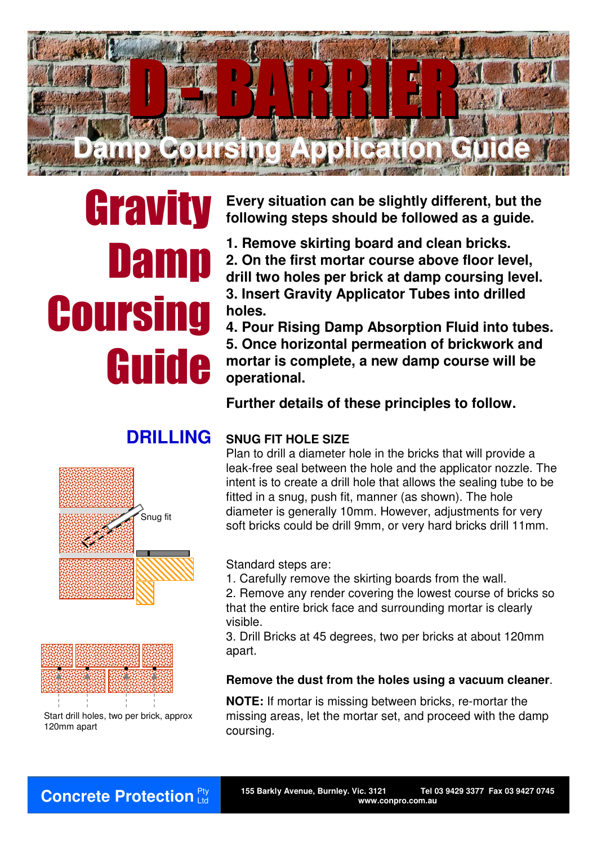

# **Gravity Damp Coursing** Guide

**Every situation can be slightly different, but the following steps should be followed as a guide.**

**1. Remove skirting board and clean bricks. 2. On the first mortar course above floor level, drill two holes per brick at damp coursing level. 3. Insert Gravity Applicator Tubes into drilled holes.**

**4. Pour Rising Damp Absorption Fluid into tubes. 5. Once horizontal permeation of brickwork and mortar is complete, a new damp course will be operational.** 

**Further details of these principles to follow.**

# Snug fit



Start drill holes, two per brick, approx 120mm apart

## **DRILLING SNUG FIT HOLE SIZE**

Plan to drill a diameter hole in the bricks that will provide a leak-free seal between the hole and the applicator nozzle. The intent is to create a drill hole that allows the sealing tube to be fitted in a snug, push fit, manner (as shown). The hole diameter is generally 10mm. However, adjustments for very soft bricks could be drill 9mm, or very hard bricks drill 11mm.

Standard steps are:

1. Carefully remove the skirting boards from the wall.

2. Remove any render covering the lowest course of bricks so that the entire brick face and surrounding mortar is clearly visible.

3. Drill Bricks at 45 degrees, two per bricks at about 120mm apart.

#### **Remove the dust from the holes using a vacuum cleaner**.

**NOTE:** If mortar is missing between bricks, re-mortar the missing areas, let the mortar set, and proceed with the damp coursing.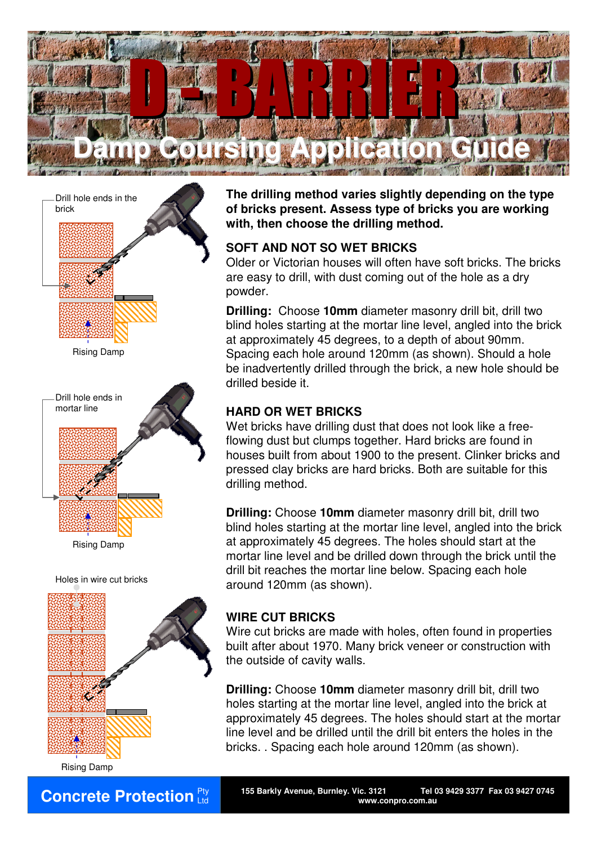



Rising Damp

Holes in wire cut bricks



Ltd

**The drilling method varies slightly depending on the type of bricks present. Assess type of bricks you are working with, then choose the drilling method.**

#### **SOFT AND NOT SO WET BRICKS**

Older or Victorian houses will often have soft bricks. The bricks are easy to drill, with dust coming out of the hole as a dry powder.

**Drilling:** Choose **10mm** diameter masonry drill bit, drill two blind holes starting at the mortar line level, angled into the brick at approximately 45 degrees, to a depth of about 90mm. Spacing each hole around 120mm (as shown). Should a hole be inadvertently drilled through the brick, a new hole should be drilled beside it.

#### **HARD OR WET BRICKS**

Wet bricks have drilling dust that does not look like a freeflowing dust but clumps together. Hard bricks are found in houses built from about 1900 to the present. Clinker bricks and pressed clay bricks are hard bricks. Both are suitable for this drilling method.

**Drilling:** Choose **10mm** diameter masonry drill bit, drill two blind holes starting at the mortar line level, angled into the brick at approximately 45 degrees. The holes should start at the mortar line level and be drilled down through the brick until the drill bit reaches the mortar line below. Spacing each hole around 120mm (as shown).

### **WIRE CUT BRICKS**

Wire cut bricks are made with holes, often found in properties built after about 1970. Many brick veneer or construction with the outside of cavity walls.

**Drilling:** Choose **10mm** diameter masonry drill bit, drill two holes starting at the mortar line level, angled into the brick at approximately 45 degrees. The holes should start at the mortar line level and be drilled until the drill bit enters the holes in the bricks. . Spacing each hole around 120mm (as shown).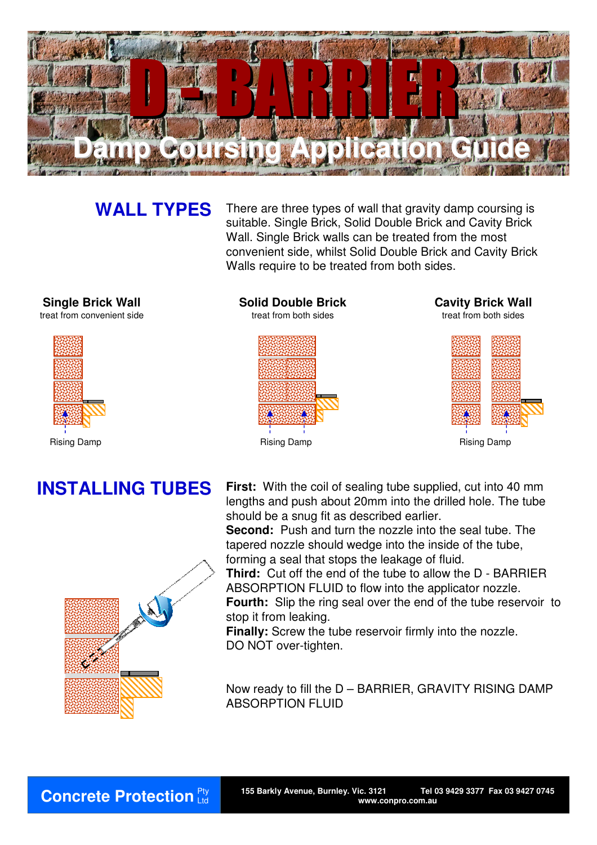

**WALL TYPES** There are three types of wall that gravity damp coursing is suitable. Single Brick, Solid Double Brick and Cavity Brick Wall. Single Brick walls can be treated from the most convenient side, whilst Solid Double Brick and Cavity Brick Walls require to be treated from both sides.

**Single Brick Wall**

treat from convenient side



**Solid Double Brick** treat from both sides



**Cavity Brick Wall** treat from both sides





**INSTALLING TUBES** First: With the coil of sealing tube supplied, cut into 40 mm lengths and push about 20mm into the drilled hole. The tube should be a snug fit as described earlier.

**Second:** Push and turn the nozzle into the seal tube. The tapered nozzle should wedge into the inside of the tube, forming a seal that stops the leakage of fluid.

**Third:** Cut off the end of the tube to allow the D - BARRIER ABSORPTION FLUID to flow into the applicator nozzle.

**Fourth:** Slip the ring seal over the end of the tube reservoir to stop it from leaking.

**Finally:** Screw the tube reservoir firmly into the nozzle. DO NOT over-tighten.

Now ready to fill the D – BARRIER, GRAVITY RISING DAMP ABSORPTION FLUID



Ltd